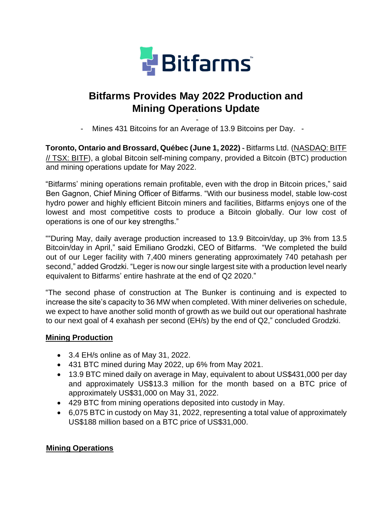

# **Bitfarms Provides May 2022 Production and Mining Operations Update**

-

- Mines 431 Bitcoins for an Average of 13.9 Bitcoins per Day. -

**Toronto, Ontario and Brossard, Québec (June 1, 2022)** - [Bitfarms Ltd.](https://cts.businesswire.com/ct/CT?id=smartlink&url=https%3A%2F%2Fbitfarms.com%2F&esheet=52352512&newsitemid=20201222005172&lan=en-US&anchor=Bitfarms+Ltd.&index=1&md5=4e2b5a37e06e1e60e5ebf2e5b16a4b57) (NASDAQ: BITF // TSX: BITF), a global Bitcoin self-mining company, provided a Bitcoin (BTC) production and mining operations update for May 2022.

"Bitfarms' mining operations remain profitable, even with the drop in Bitcoin prices," said Ben Gagnon, Chief Mining Officer of Bitfarms. "With our business model, stable low-cost hydro power and highly efficient Bitcoin miners and facilities, Bitfarms enjoys one of the lowest and most competitive costs to produce a Bitcoin globally. Our low cost of operations is one of our key strengths."

""During May, daily average production increased to 13.9 Bitcoin/day, up 3% from 13.5 Bitcoin/day in April," said Emiliano Grodzki, CEO of Bitfarms. "We completed the build out of our Leger facility with 7,400 miners generating approximately 740 petahash per second," added Grodzki. "Leger is now our single largest site with a production level nearly equivalent to Bitfarms' entire hashrate at the end of Q2 2020."

"The second phase of construction at The Bunker is continuing and is expected to increase the site's capacity to 36 MW when completed. With miner deliveries on schedule, we expect to have another solid month of growth as we build out our operational hashrate to our next goal of 4 exahash per second (EH/s) by the end of Q2," concluded Grodzki.

# **Mining Production**

- 3.4 EH/s online as of May 31, 2022.
- 431 BTC mined during May 2022, up 6% from May 2021.
- 13.9 BTC mined daily on average in May, equivalent to about US\$431,000 per day and approximately US\$13.3 million for the month based on a BTC price of approximately US\$31,000 on May 31, 2022.
- 429 BTC from mining operations deposited into custody in May.
- 6,075 BTC in custody on May 31, 2022, representing a total value of approximately US\$188 million based on a BTC price of US\$31,000.

# **Mining Operations**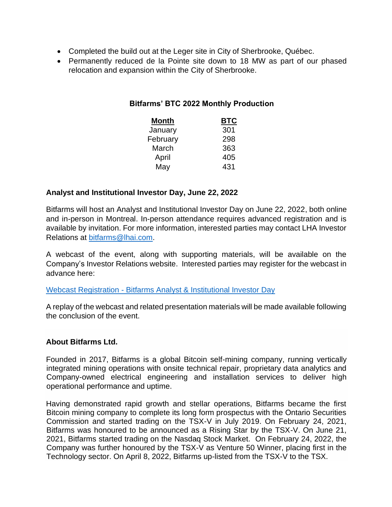- Completed the build out at the Leger site in City of Sherbrooke, Québec.
- Permanently reduced de la Pointe site down to 18 MW as part of our phased relocation and expansion within the City of Sherbrooke.

### **Bitfarms' BTC 2022 Monthly Production**

| <b>Month</b> | <b>BTC</b> |
|--------------|------------|
| January      | 301        |
| February     | 298        |
| March        | 363        |
| April        | 405        |
| May          | 431        |

#### **Analyst and Institutional Investor Day, June 22, 2022**

Bitfarms will host an Analyst and Institutional Investor Day on June 22, 2022, both online and in-person in Montreal. In-person attendance requires advanced registration and is available by invitation. For more information, interested parties may contact LHA Investor Relations at [bitfarms@lhai.com.](mailto:bitfarms@lhai.com)

A webcast of the event, along with supporting materials, will be available on the Company's Investor Relations website. Interested parties may register for the webcast in advance here:

#### Webcast Registration - [Bitfarms Analyst & Institutional Investor Day](https://event.choruscall.com/mediaframe/webcast.html?webcastid=4y9yGwv1)

A replay of the webcast and related presentation materials will be made available following the conclusion of the event.

#### **About Bitfarms Ltd.**

Founded in 2017, Bitfarms is a global Bitcoin self-mining company, running vertically integrated mining operations with onsite technical repair, proprietary data analytics and Company-owned electrical engineering and installation services to deliver high operational performance and uptime.

Having demonstrated rapid growth and stellar operations, Bitfarms became the first Bitcoin mining company to complete its long form prospectus with the Ontario Securities Commission and started trading on the TSX-V in July 2019. On February 24, 2021, Bitfarms was honoured to be announced as a Rising Star by the TSX-V. On June 21, 2021, Bitfarms started trading on the Nasdaq Stock Market. On February 24, 2022, the Company was further honoured by the TSX-V as Venture 50 Winner, placing first in the Technology sector. On April 8, 2022, Bitfarms up-listed from the TSX-V to the TSX.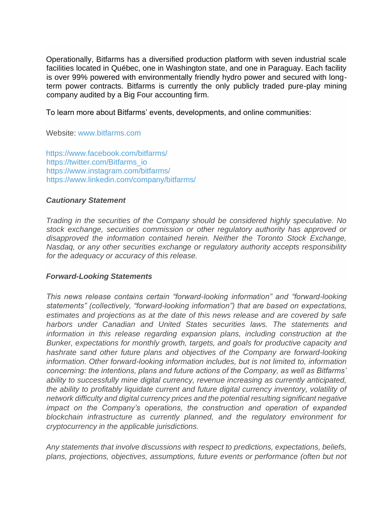Operationally, Bitfarms has a diversified production platform with seven industrial scale facilities located in Québec, one in Washington state, and one in Paraguay. Each facility is over 99% powered with environmentally friendly hydro power and secured with longterm power contracts. Bitfarms is currently the only publicly traded pure-play mining company audited by a Big Four accounting firm.

To learn more about Bitfarms' events, developments, and online communities:

Website: [www.bitfarms.com](https://cts.businesswire.com/ct/CT?id=smartlink&url=http%3A%2F%2Fwww.bitfarms.com&esheet=52352512&newsitemid=20201222005172&lan=en-US&anchor=www.bitfarms.com&index=2&md5=8a9d4e770ff4a5696a36ad864bb10f7e)

[https://www.facebook.com/bitfarms/](https://cts.businesswire.com/ct/CT?id=smartlink&url=https%3A%2F%2Fwww.facebook.com%2Fbitfarms%2F&esheet=52352512&newsitemid=20201222005172&lan=en-US&anchor=https%3A%2F%2Fwww.facebook.com%2Fbitfarms%2F&index=3&md5=b6e44e25b52add15c33e867ef844a87f) [https://twitter.com/Bitfarms\\_io](https://cts.businesswire.com/ct/CT?id=smartlink&url=https%3A%2F%2Ftwitter.com%2FBitfarms_io&esheet=52352512&newsitemid=20201222005172&lan=en-US&anchor=https%3A%2F%2Ftwitter.com%2FBitfarms_io&index=4&md5=ea5504adaee0d8d42bb82da141578a4c) [https://www.instagram.com/bitfarms/](https://cts.businesswire.com/ct/CT?id=smartlink&url=https%3A%2F%2Fwww.instagram.com%2Fbitfarms%2F&esheet=52352512&newsitemid=20201222005172&lan=en-US&anchor=https%3A%2F%2Fwww.instagram.com%2Fbitfarms%2F&index=5&md5=c23e35264dd3b32f731404db5d27ba13) [https://www.linkedin.com/company/bitfarms/](https://cts.businesswire.com/ct/CT?id=smartlink&url=https%3A%2F%2Fwww.linkedin.com%2Fcompany%2Fbitfarms%2F&esheet=52352512&newsitemid=20201222005172&lan=en-US&anchor=https%3A%2F%2Fwww.linkedin.com%2Fcompany%2Fbitfarms%2F&index=6&md5=b1358cccd49bdc78b84622ab953c638b)

#### *Cautionary Statement*

*Trading in the securities of the Company should be considered highly speculative. No stock exchange, securities commission or other regulatory authority has approved or disapproved the information contained herein. Neither the Toronto Stock Exchange, Nasdaq, or any other securities exchange or regulatory authority accepts responsibility for the adequacy or accuracy of this release.*

#### *Forward-Looking Statements*

*This news release contains certain "forward-looking information" and "forward-looking statements" (collectively, "forward-looking information") that are based on expectations,*  estimates and projections as at the date of this news release and are covered by safe *harbors under Canadian and United States securities laws. The statements and information in this release regarding expansion plans, including construction at the Bunker, expectations for monthly growth, targets, and goals for productive capacity and hashrate sand other future plans and objectives of the Company are forward-looking information. Other forward-looking information includes, but is not limited to, information concerning: the intentions, plans and future actions of the Company, as well as Bitfarms' ability to successfully mine digital currency, revenue increasing as currently anticipated, the ability to profitably liquidate current and future digital currency inventory, volatility of network difficulty and digital currency prices and the potential resulting significant negative impact on the Company's operations, the construction and operation of expanded blockchain infrastructure as currently planned, and the regulatory environment for cryptocurrency in the applicable jurisdictions.*

*Any statements that involve discussions with respect to predictions, expectations, beliefs, plans, projections, objectives, assumptions, future events or performance (often but not*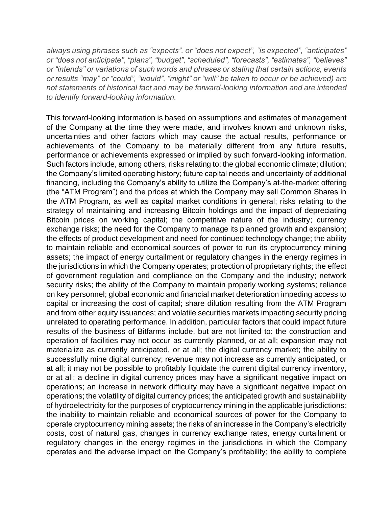*always using phrases such as "expects", or "does not expect", "is expected", "anticipates" or "does not anticipate", "plans", "budget", "scheduled", "forecasts", "estimates", "believes" or "intends" or variations of such words and phrases or stating that certain actions, events or results "may" or "could", "would", "might" or "will" be taken to occur or be achieved) are not statements of historical fact and may be forward-looking information and are intended to identify forward-looking information.*

This forward-looking information is based on assumptions and estimates of management of the Company at the time they were made, and involves known and unknown risks, uncertainties and other factors which may cause the actual results, performance or achievements of the Company to be materially different from any future results, performance or achievements expressed or implied by such forward-looking information. Such factors include, among others, risks relating to: the global economic climate; dilution; the Company's limited operating history; future capital needs and uncertainty of additional financing, including the Company's ability to utilize the Company's at-the-market offering (the "ATM Program") and the prices at which the Company may sell Common Shares in the ATM Program, as well as capital market conditions in general; risks relating to the strategy of maintaining and increasing Bitcoin holdings and the impact of depreciating Bitcoin prices on working capital; the competitive nature of the industry; currency exchange risks; the need for the Company to manage its planned growth and expansion; the effects of product development and need for continued technology change; the ability to maintain reliable and economical sources of power to run its cryptocurrency mining assets; the impact of energy curtailment or regulatory changes in the energy regimes in the jurisdictions in which the Company operates; protection of proprietary rights; the effect of government regulation and compliance on the Company and the industry; network security risks; the ability of the Company to maintain properly working systems; reliance on key personnel; global economic and financial market deterioration impeding access to capital or increasing the cost of capital; share dilution resulting from the ATM Program and from other equity issuances; and volatile securities markets impacting security pricing unrelated to operating performance. In addition, particular factors that could impact future results of the business of Bitfarms include, but are not limited to: the construction and operation of facilities may not occur as currently planned, or at all; expansion may not materialize as currently anticipated, or at all; the digital currency market; the ability to successfully mine digital currency; revenue may not increase as currently anticipated, or at all; it may not be possible to profitably liquidate the current digital currency inventory, or at all; a decline in digital currency prices may have a significant negative impact on operations; an increase in network difficulty may have a significant negative impact on operations; the volatility of digital currency prices; the anticipated growth and sustainability of hydroelectricity for the purposes of cryptocurrency mining in the applicable jurisdictions; the inability to maintain reliable and economical sources of power for the Company to operate cryptocurrency mining assets; the risks of an increase in the Company's electricity costs, cost of natural gas, changes in currency exchange rates, energy curtailment or regulatory changes in the energy regimes in the jurisdictions in which the Company operates and the adverse impact on the Company's profitability; the ability to complete